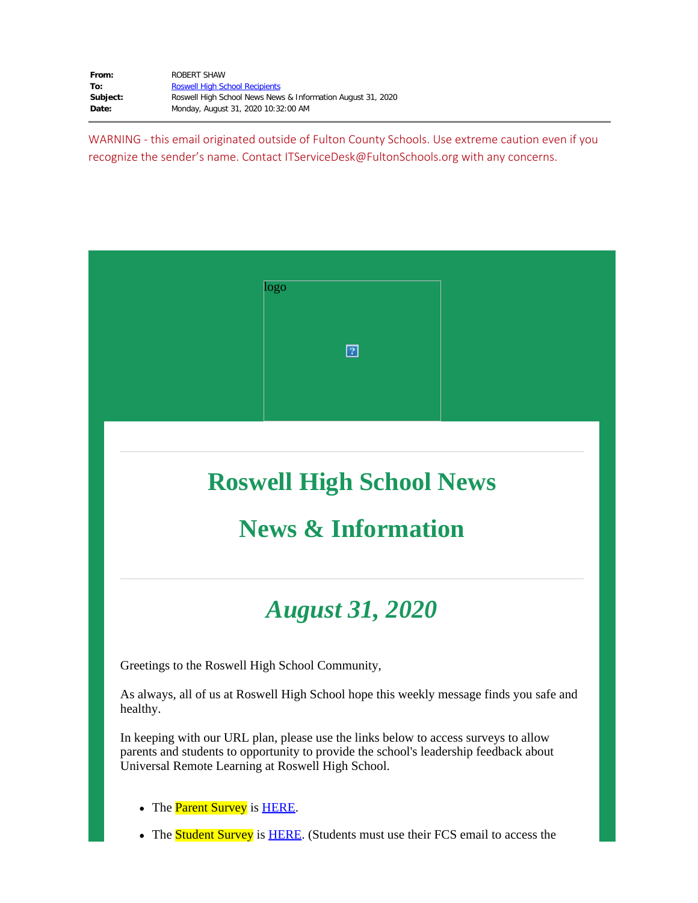| From:    | ROBERT SHAW                                                 |
|----------|-------------------------------------------------------------|
| To:      | <b>Roswell High School Recipients</b>                       |
| Subject: | Roswell High School News News & Information August 31, 2020 |
| Date:    | Monday, August 31, 2020 10:32:00 AM                         |

WARNING - this email originated outside of Fulton County Schools. Use extreme caution even if you recognize the sender's name. Contact ITServiceDesk@FultonSchools.org with any concerns.



# **Roswell High School News**

### **News & Information**

# *August 31, 2020*

Greetings to the Roswell High School Community,

As always, all of us at Roswell High School hope this weekly message finds you safe and healthy.

In keeping with our URL plan, please use the links below to access surveys to allow parents and students to opportunity to provide the school's leadership feedback about Universal Remote Learning at Roswell High School.

- The **Parent Survey** is **[HERE](https://forms.office.com/Pages/ResponsePage.aspx?id=mLHcDGmBcEu6n9p-O6cAwify9XSUym1Hi9A9FhPxy3VUM0g4N0dNWlNDVTNGT1A2MDdIT0o3SlY0RS4u)**.
- The **Student Survey** is **[HERE](https://forms.office.com/Pages/ResponsePage.aspx?id=mLHcDGmBcEu6n9p-O6cAwify9XSUym1Hi9A9FhPxy3VURUtFOTdaTTM2V0E0NlpTSURVNEQxSktKTy4u)**. (Students must use their FCS email to access the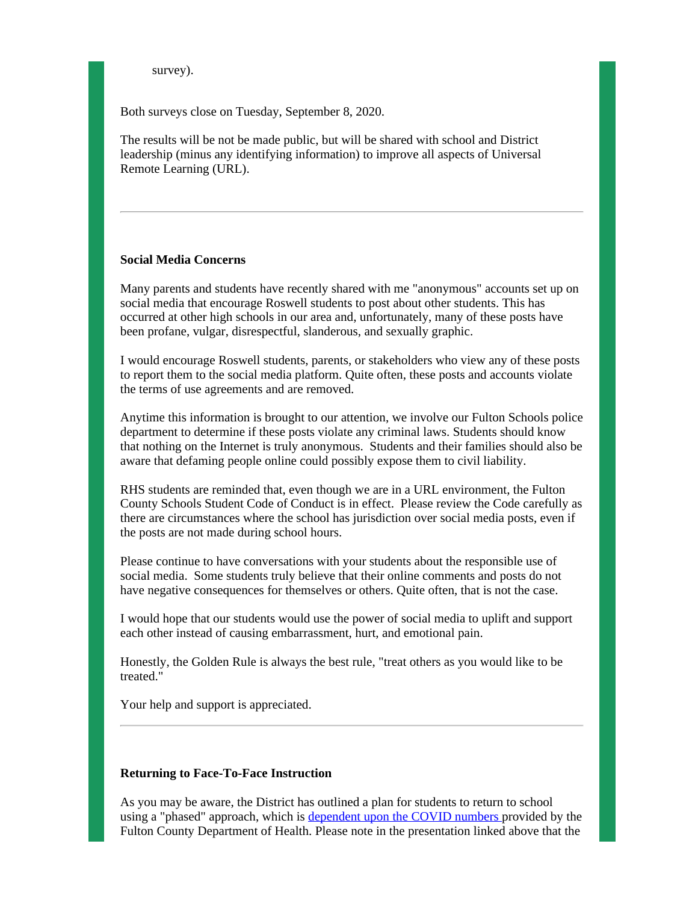survey).

Both surveys close on Tuesday, September 8, 2020.

The results will be not be made public, but will be shared with school and District leadership (minus any identifying information) to improve all aspects of Universal Remote Learning (URL).

#### **Social Media Concerns**

Many parents and students have recently shared with me "anonymous" accounts set up on social media that encourage Roswell students to post about other students. This has occurred at other high schools in our area and, unfortunately, many of these posts have been profane, vulgar, disrespectful, slanderous, and sexually graphic.

I would encourage Roswell students, parents, or stakeholders who view any of these posts to report them to the social media platform. Quite often, these posts and accounts violate the terms of use agreements and are removed.

Anytime this information is brought to our attention, we involve our Fulton Schools police department to determine if these posts violate any criminal laws. Students should know that nothing on the Internet is truly anonymous. Students and their families should also be aware that defaming people online could possibly expose them to civil liability.

RHS students are reminded that, even though we are in a URL environment, the Fulton County Schools Student Code of Conduct is in effect. Please review the Code carefully as there are circumstances where the school has jurisdiction over social media posts, even if the posts are not made during school hours.

Please continue to have conversations with your students about the responsible use of social media. Some students truly believe that their online comments and posts do not have negative consequences for themselves or others. Quite often, that is not the case.

I would hope that our students would use the power of social media to uplift and support each other instead of causing embarrassment, hurt, and emotional pain.

Honestly, the Golden Rule is always the best rule, "treat others as you would like to be treated."

Your help and support is appreciated.

#### **Returning to Face-To-Face Instruction**

As you may be aware, the District has outlined a plan for students to return to school using a "phased" approach, which is [dependent](https://nam03.safelinks.protection.outlook.com/?url=https%3A%2F%2Fgo.boarddocs.com%2Fga%2Ffcss%2FBoard.nsf%2Ffiles%2FBSNRT36F7A59%2F%24file%2FReopening%2520Phase%25201%2520.pdf&data=02%7C01%7Cshawr%40fultonschools.org%7Cf052aab9f1274b0b756c08d84dba9459%7C0cdcb19881694b70ba9fda7e3ba700c2%7C1%7C0%7C637344811187623559&sdata=qD3YEksF6GZ7Q54Rlo%2F9fx60r6CbwcHwJYmLhCSCeCw%3D&reserved=0) upon the COVID numbers provided by the Fulton County Department of Health. Please note in the presentation linked above that the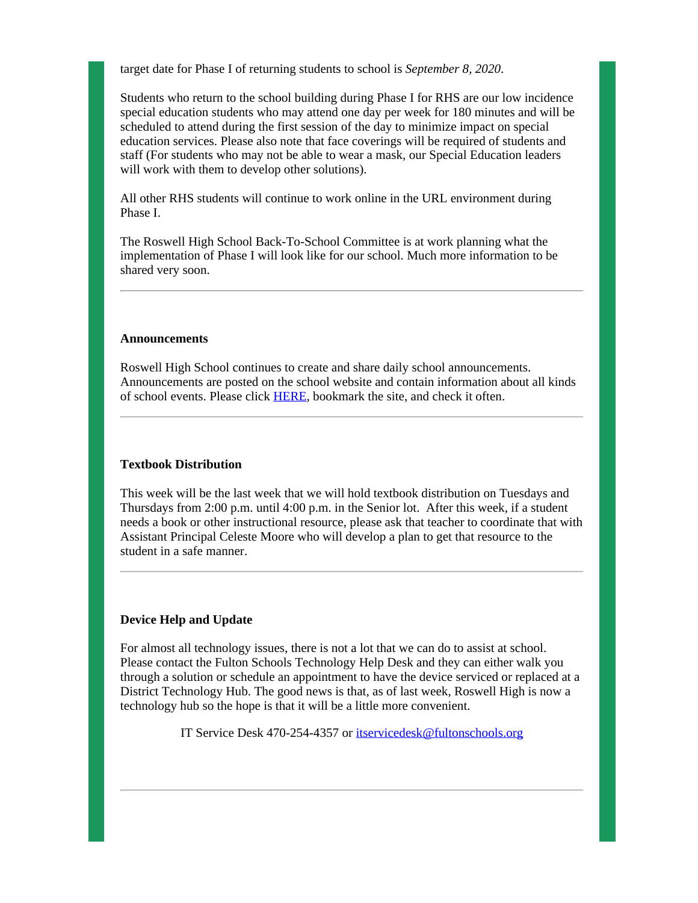target date for Phase I of returning students to school is *September 8, 2020*.

Students who return to the school building during Phase I for RHS are our low incidence special education students who may attend one day per week for 180 minutes and will be scheduled to attend during the first session of the day to minimize impact on special education services. Please also note that face coverings will be required of students and staff (For students who may not be able to wear a mask, our Special Education leaders will work with them to develop other solutions).

All other RHS students will continue to work online in the URL environment during Phase I.

The Roswell High School Back-To-School Committee is at work planning what the implementation of Phase I will look like for our school. Much more information to be shared very soon.

#### **Announcements**

Roswell High School continues to create and share daily school announcements. Announcements are posted on the school website and contain information about all kinds of school events. Please click [HERE](https://www.fultonschools.org/Page/16758), bookmark the site, and check it often.

#### **Textbook Distribution**

This week will be the last week that we will hold textbook distribution on Tuesdays and Thursdays from 2:00 p.m. until 4:00 p.m. in the Senior lot. After this week, if a student needs a book or other instructional resource, please ask that teacher to coordinate that with Assistant Principal Celeste Moore who will develop a plan to get that resource to the student in a safe manner.

#### **Device Help and Update**

For almost all technology issues, there is not a lot that we can do to assist at school. Please contact the Fulton Schools Technology Help Desk and they can either walk you through a solution or schedule an appointment to have the device serviced or replaced at a District Technology Hub. The good news is that, as of last week, Roswell High is now a technology hub so the hope is that it will be a little more convenient.

IT Service Desk 470-254-4357 or [itservicedesk@fultonschools.org](mailto:itservicedesk@fultonschools.org)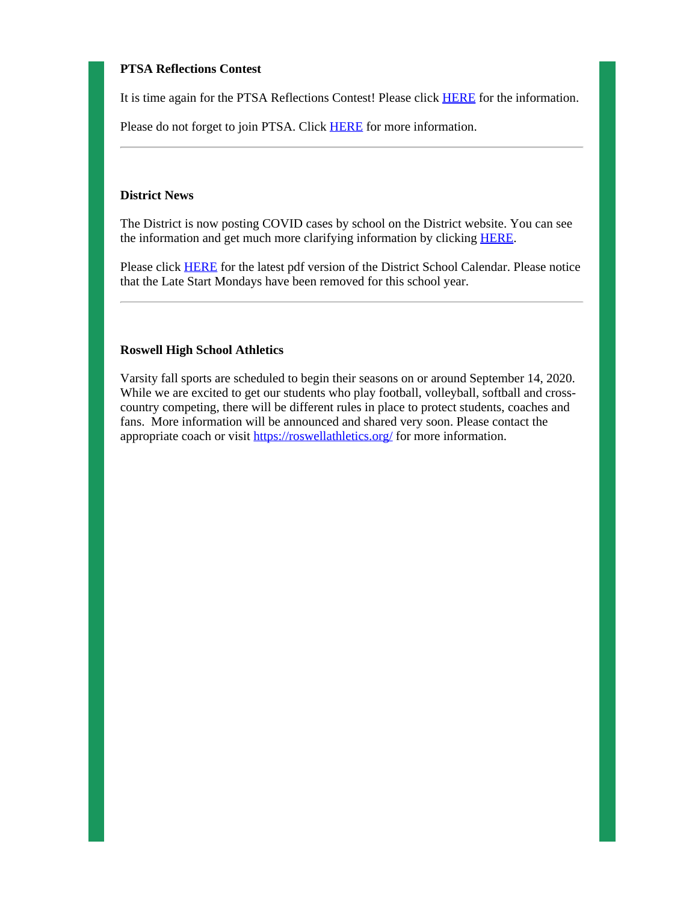### **PTSA Reflections Contest**

It is time again for the PTSA Reflections Contest! Please click [HERE](https://nam03.safelinks.protection.outlook.com/?url=http%3A%2F%2Fnew.shawadmin.com%2FRoswell%2FPublic%2Fptsareflections.pdf&data=02%7C01%7Cshawr%40fultonschools.org%7Cf052aab9f1274b0b756c08d84dba9459%7C0cdcb19881694b70ba9fda7e3ba700c2%7C1%7C0%7C637344811187623559&sdata=A%2Fy8Yfz1PuKum7LW0utSqeVkrxaUreV6imPjiZfVI7U%3D&reserved=0) for the information.

Please do not forget to join PTSA. Click **[HERE](https://nam03.safelinks.protection.outlook.com/?url=https%3A%2F%2Froswellhsptsa.new.memberhub.store%2Fstore&data=02%7C01%7Cshawr%40fultonschools.org%7Cf052aab9f1274b0b756c08d84dba9459%7C0cdcb19881694b70ba9fda7e3ba700c2%7C1%7C0%7C637344811187633554&sdata=4ir59zEninFQdF05u25%2B6fvuhfznmkKEaZFSLxT7r%2Fs%3D&reserved=0)** for more information.

#### **District News**

The District is now posting COVID cases by school on the District website. You can see the information and get much more clarifying information by clicking **[HERE](https://www.fultonschools.org/Page/20960)**.

Please click [HERE](https://www.fultonschools.org/cms/lib/GA50000114/Centricity/Domain/4/2020-21_FCSCalendar_Color_20200819.pdf) for the latest pdf version of the District School Calendar. Please notice that the Late Start Mondays have been removed for this school year.

#### **Roswell High School Athletics**

Varsity fall sports are scheduled to begin their seasons on or around September 14, 2020. While we are excited to get our students who play football, volleyball, softball and crosscountry competing, there will be different rules in place to protect students, coaches and fans. More information will be announced and shared very soon. Please contact the appropriate coach or visit [https://roswellathletics.org/](https://nam03.safelinks.protection.outlook.com/?url=https%3A%2F%2Froswellathletics.org%2F&data=02%7C01%7Cshawr%40fultonschools.org%7Cf052aab9f1274b0b756c08d84dba9459%7C0cdcb19881694b70ba9fda7e3ba700c2%7C1%7C0%7C637344811187633554&sdata=umi51pSEAMLWSttV1KnvAoxkKlhP9O3N6hbQEtdhTLI%3D&reserved=0) for more information.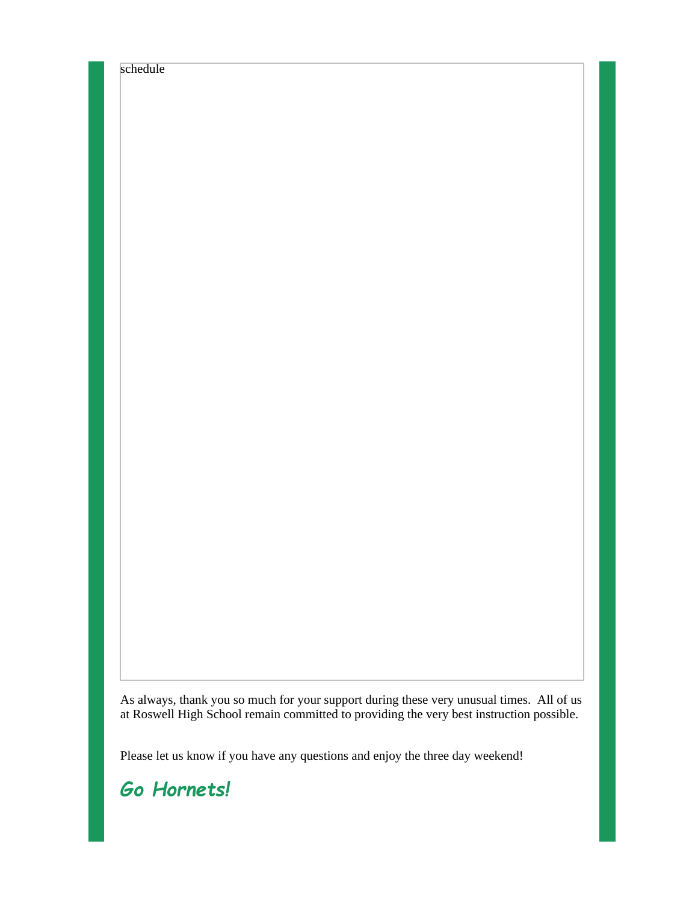schedule

As always, thank you so much for your support during these very unusual times. All of us at Roswell High School remain committed to providing the very best instruction possible.

Please let us know if you have any questions and enjoy the three day weekend!